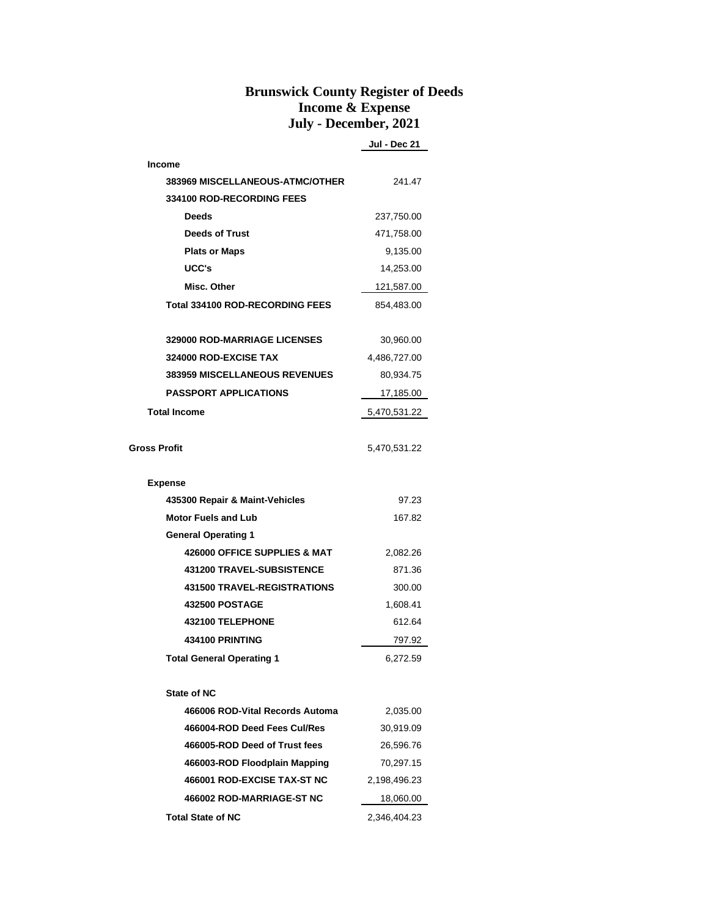## **Brunswick County Register of Deeds Income & Expense July - December, 2021**

**Jul - Dec 21**

| <b>Income</b>                          |              |  |
|----------------------------------------|--------------|--|
| <b>383969 MISCELLANEOUS-ATMC/OTHER</b> | 241.47       |  |
| 334100 ROD-RECORDING FEES              |              |  |
| <b>Deeds</b>                           | 237,750.00   |  |
| <b>Deeds of Trust</b>                  | 471,758.00   |  |
| <b>Plats or Maps</b>                   | 9,135.00     |  |
| UCC's                                  | 14,253.00    |  |
| Misc. Other                            | 121,587.00   |  |
| <b>Total 334100 ROD-RECORDING FEES</b> | 854,483.00   |  |
|                                        |              |  |
| <b>329000 ROD-MARRIAGE LICENSES</b>    | 30,960.00    |  |
| 324000 ROD-EXCISE TAX                  | 4,486,727.00 |  |
| <b>383959 MISCELLANEOUS REVENUES</b>   | 80,934.75    |  |
| <b>PASSPORT APPLICATIONS</b>           | 17,185.00    |  |
| <b>Total Income</b>                    | 5,470,531.22 |  |
|                                        |              |  |
| <b>Gross Profit</b>                    | 5,470,531.22 |  |
|                                        |              |  |
| <b>Expense</b>                         |              |  |
| 435300 Repair & Maint-Vehicles         | 97.23        |  |
| <b>Motor Fuels and Lub</b>             | 167.82       |  |
| <b>General Operating 1</b>             |              |  |
| 426000 OFFICE SUPPLIES & MAT           | 2,082.26     |  |
| 431200 TRAVEL-SUBSISTENCE              | 871.36       |  |
| <b>431500 TRAVEL-REGISTRATIONS</b>     | 300.00       |  |
| <b>432500 POSTAGE</b>                  | 1,608.41     |  |
| 432100 TELEPHONE                       | 612.64       |  |
| 434100 PRINTING                        | 797.92       |  |
| <b>Total General Operating 1</b>       | 6,272.59     |  |
|                                        |              |  |
| <b>State of NC</b>                     |              |  |
| 466006 ROD-Vital Records Automa        | 2,035.00     |  |
| 466004-ROD Deed Fees Cul/Res           | 30,919.09    |  |
| 466005-ROD Deed of Trust fees          | 26,596.76    |  |
| 466003-ROD Floodplain Mapping          | 70,297.15    |  |
| 466001 ROD-EXCISE TAX-ST NC            | 2,198,496.23 |  |
| 466002 ROD-MARRIAGE-ST NC              | 18,060.00    |  |
| <b>Total State of NC</b>               | 2,346,404.23 |  |